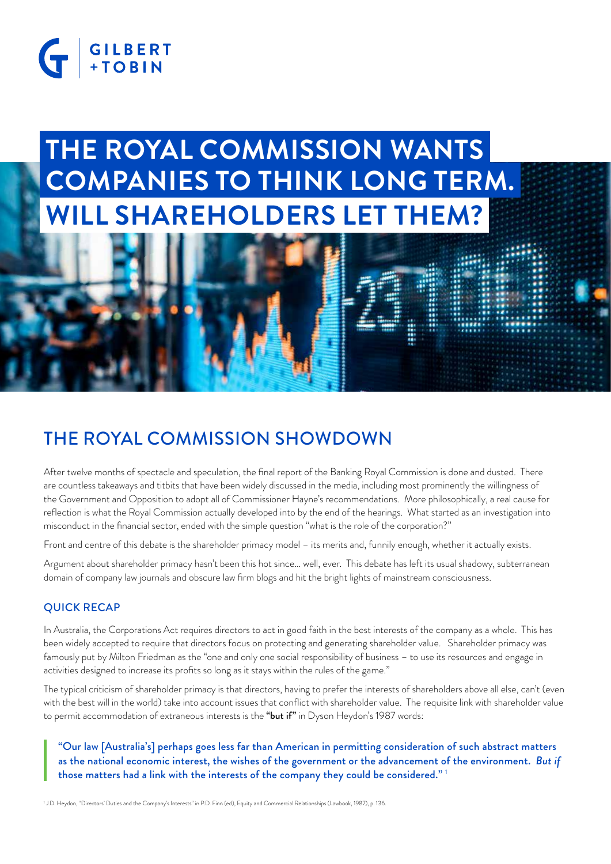# G GILBERT

## **THE ROYAL COMMISSION WANTS WILL SHAREHOLDERS LET THEM? COMPANIES TO THINK LONG TERM.**

## THE ROYAL COMMISSION SHOWDOWN

After twelve months of spectacle and speculation, the final report of the Banking Royal Commission is done and dusted. There are countless takeaways and titbits that have been widely discussed in the media, including most prominently the willingness of the Government and Opposition to adopt all of Commissioner Hayne's recommendations. More philosophically, a real cause for reflection is what the Royal Commission actually developed into by the end of the hearings. What started as an investigation into misconduct in the financial sector, ended with the simple question "what is the role of the corporation?"

Front and centre of this debate is the shareholder primacy model – its merits and, funnily enough, whether it actually exists.

Argument about shareholder primacy hasn't been this hot since… well, ever. This debate has left its usual shadowy, subterranean domain of company law journals and obscure law firm blogs and hit the bright lights of mainstream consciousness.

#### QUICK RECAP

In Australia, the Corporations Act requires directors to act in good faith in the best interests of the company as a whole. This has been widely accepted to require that directors focus on protecting and generating shareholder value. Shareholder primacy was famously put by Milton Friedman as the "one and only one social responsibility of business – to use its resources and engage in activities designed to increase its profits so long as it stays within the rules of the game."

The typical criticism of shareholder primacy is that directors, having to prefer the interests of shareholders above all else, can't (even with the best will in the world) take into account issues that conflict with shareholder value. The requisite link with shareholder value to permit accommodation of extraneous interests is the "but if" in Dyson Heydon's 1987 words:

"Our law [Australia's] perhaps goes less far than American in permitting consideration of such abstract matters as the national economic interest, the wishes of the government or the advancement of the environment. *But if* those matters had a link with the interests of the company they could be considered."<sup>1</sup>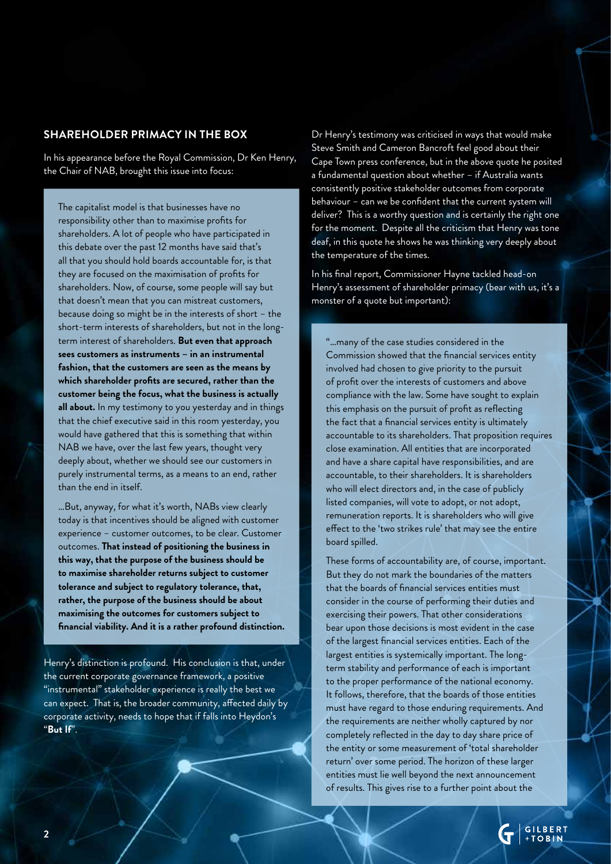#### **SHAREHOLDER PRIMACY IN THE BOX**

In his appearance before the Royal Commission, Dr Ken Henry, the Chair of NAB, brought this issue into focus:

The capitalist model is that businesses have no responsibility other than to maximise profits for shareholders. A lot of people who have participated in this debate over the past 12 months have said that's all that you should hold boards accountable for, is that they are focused on the maximisation of profits for shareholders. Now, of course, some people will say but that doesn't mean that you can mistreat customers, because doing so might be in the interests of short – the short-term interests of shareholders, but not in the longterm interest of shareholders. **But even that approach sees customers as instruments – in an instrumental fashion, that the customers are seen as the means by which shareholder profits are secured, rather than the customer being the focus, what the business is actually all about.** In my testimony to you yesterday and in things that the chief executive said in this room yesterday, you would have gathered that this is something that within NAB we have, over the last few years, thought very deeply about, whether we should see our customers in purely instrumental terms, as a means to an end, rather than the end in itself.

…But, anyway, for what it's worth, NABs view clearly today is that incentives should be aligned with customer experience – customer outcomes, to be clear. Customer outcomes. **That instead of positioning the business in this way, that the purpose of the business should be to maximise shareholder returns subject to customer tolerance and subject to regulatory tolerance, that, rather, the purpose of the business should be about maximising the outcomes for customers subject to financial viability. And it is a rather profound distinction.**

Henry's distinction is profound. His conclusion is that, under the current corporate governance framework, a positive "instrumental" stakeholder experience is really the best we can expect. That is, the broader community, affected daily by corporate activity, needs to hope that if falls into Heydon's "**But If**".

Dr Henry's testimony was criticised in ways that would make Steve Smith and Cameron Bancroft feel good about their Cape Town press conference, but in the above quote he posited a fundamental question about whether – if Australia wants consistently positive stakeholder outcomes from corporate behaviour – can we be confident that the current system will deliver? This is a worthy question and is certainly the right one for the moment. Despite all the criticism that Henry was tone deaf, in this quote he shows he was thinking very deeply about the temperature of the times.

In his final report, Commissioner Hayne tackled head-on Henry's assessment of shareholder primacy (bear with us, it's a monster of a quote but important):

"…many of the case studies considered in the Commission showed that the financial services entity involved had chosen to give priority to the pursuit of profit over the interests of customers and above compliance with the law. Some have sought to explain this emphasis on the pursuit of profit as reflecting the fact that a financial services entity is ultimately accountable to its shareholders. That proposition requires close examination. All entities that are incorporated and have a share capital have responsibilities, and are accountable, to their shareholders. It is shareholders who will elect directors and, in the case of publicly listed companies, will vote to adopt, or not adopt, remuneration reports. It is shareholders who will give effect to the 'two strikes rule' that may see the entire board spilled.

These forms of accountability are, of course, important. But they do not mark the boundaries of the matters that the boards of financial services entities must consider in the course of performing their duties and exercising their powers. That other considerations bear upon those decisions is most evident in the case of the largest financial services entities. Each of the largest entities is systemically important. The longterm stability and performance of each is important to the proper performance of the national economy. It follows, therefore, that the boards of those entities must have regard to those enduring requirements. And the requirements are neither wholly captured by nor completely reflected in the day to day share price of the entity or some measurement of 'total shareholder return' over some period. The horizon of these larger entities must lie well beyond the next announcement of results. This gives rise to a further point about the

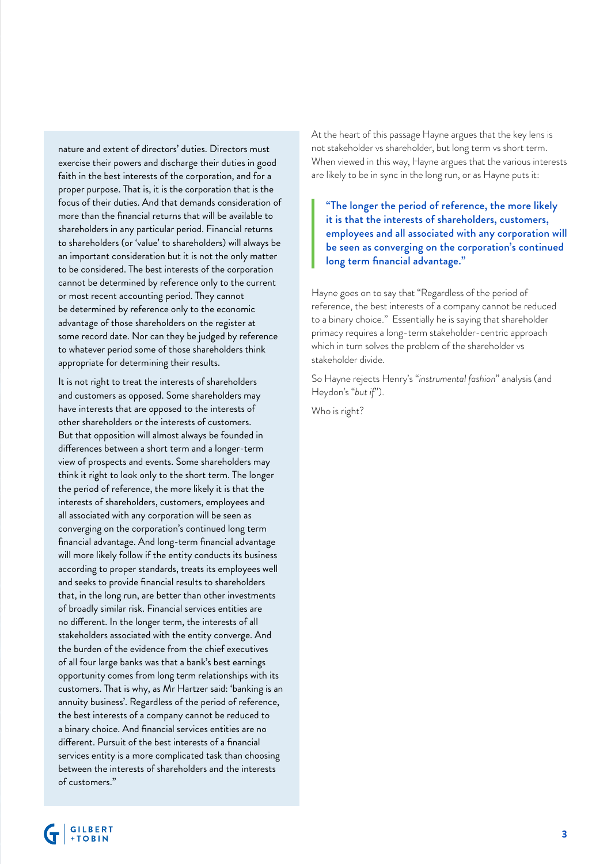nature and extent of directors' duties. Directors must exercise their powers and discharge their duties in good faith in the best interests of the corporation, and for a proper purpose. That is, it is the corporation that is the focus of their duties. And that demands consideration of more than the financial returns that will be available to shareholders in any particular period. Financial returns to shareholders (or 'value' to shareholders) will always be an important consideration but it is not the only matter to be considered. The best interests of the corporation cannot be determined by reference only to the current or most recent accounting period. They cannot be determined by reference only to the economic advantage of those shareholders on the register at some record date. Nor can they be judged by reference to whatever period some of those shareholders think appropriate for determining their results.

It is not right to treat the interests of shareholders and customers as opposed. Some shareholders may have interests that are opposed to the interests of other shareholders or the interests of customers. But that opposition will almost always be founded in differences between a short term and a longer-term view of prospects and events. Some shareholders may think it right to look only to the short term. The longer the period of reference, the more likely it is that the interests of shareholders, customers, employees and all associated with any corporation will be seen as converging on the corporation's continued long term financial advantage. And long-term financial advantage will more likely follow if the entity conducts its business according to proper standards, treats its employees well and seeks to provide financial results to shareholders that, in the long run, are better than other investments of broadly similar risk. Financial services entities are no different. In the longer term, the interests of all stakeholders associated with the entity converge. And the burden of the evidence from the chief executives of all four large banks was that a bank's best earnings opportunity comes from long term relationships with its customers. That is why, as Mr Hartzer said: 'banking is an annuity business'. Regardless of the period of reference, the best interests of a company cannot be reduced to a binary choice. And financial services entities are no different. Pursuit of the best interests of a financial services entity is a more complicated task than choosing between the interests of shareholders and the interests of customers."

At the heart of this passage Hayne argues that the key lens is not stakeholder vs shareholder, but long term vs short term. When viewed in this way, Hayne argues that the various interests are likely to be in sync in the long run, or as Hayne puts it:

"The longer the period of reference, the more likely it is that the interests of shareholders, customers, employees and all associated with any corporation will be seen as converging on the corporation's continued long term financial advantage."

Hayne goes on to say that "Regardless of the period of reference, the best interests of a company cannot be reduced to a binary choice." Essentially he is saying that shareholder primacy requires a long-term stakeholder-centric approach which in turn solves the problem of the shareholder vs stakeholder divide.

So Hayne rejects Henry's "*instrumental fashion*" analysis (and Heydon's "*but if*").

Who is right?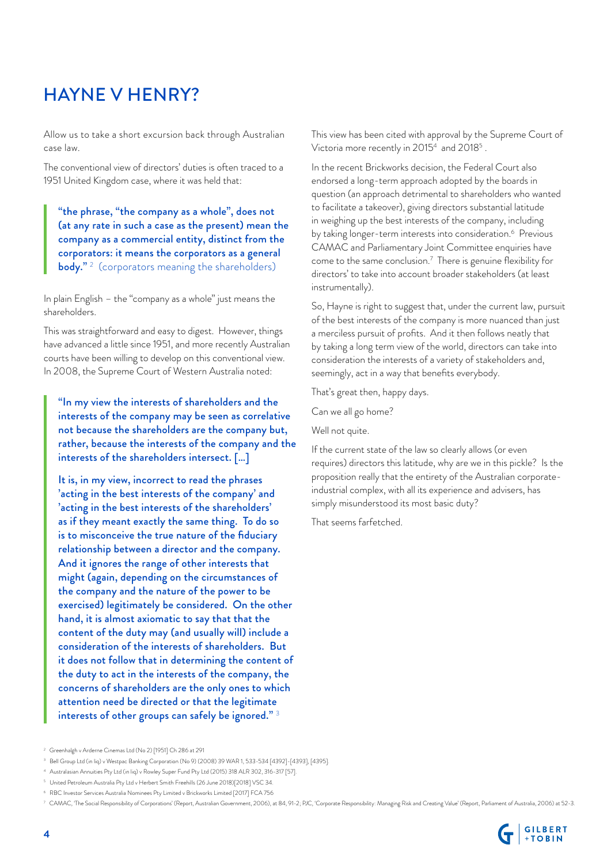## HAYNE V HENRY?

Allow us to take a short excursion back through Australian case law.

The conventional view of directors' duties is often traced to a 1951 United Kingdom case, where it was held that:

"the phrase, "the company as a whole", does not (at any rate in such a case as the present) mean the company as a commercial entity, distinct from the corporators: it means the corporators as a general **body."** <sup>2</sup> (corporators meaning the shareholders)

In plain English – the "company as a whole" just means the shareholders.

This was straightforward and easy to digest. However, things have advanced a little since 1951, and more recently Australian courts have been willing to develop on this conventional view. In 2008, the Supreme Court of Western Australia noted:

"In my view the interests of shareholders and the interests of the company may be seen as correlative not because the shareholders are the company but, rather, because the interests of the company and the interests of the shareholders intersect. […]

It is, in my view, incorrect to read the phrases 'acting in the best interests of the company' and 'acting in the best interests of the shareholders' as if they meant exactly the same thing. To do so is to misconceive the true nature of the fiduciary relationship between a director and the company. And it ignores the range of other interests that might (again, depending on the circumstances of the company and the nature of the power to be exercised) legitimately be considered. On the other hand, it is almost axiomatic to say that that the content of the duty may (and usually will) include a consideration of the interests of shareholders. But it does not follow that in determining the content of the duty to act in the interests of the company, the concerns of shareholders are the only ones to which attention need be directed or that the legitimate interests of other groups can safely be ignored."<sup>3</sup>

In the recent Brickworks decision, the Federal Court also endorsed a long-term approach adopted by the boards in question (an approach detrimental to shareholders who wanted to facilitate a takeover), giving directors substantial latitude in weighing up the best interests of the company, including by taking longer-term interests into consideration.<sup>6</sup> Previous CAMAC and Parliamentary Joint Committee enquiries have come to the same conclusion.<sup>7</sup> There is genuine flexibility for directors' to take into account broader stakeholders (at least instrumentally).

So, Hayne is right to suggest that, under the current law, pursuit of the best interests of the company is more nuanced than just a merciless pursuit of profits. And it then follows neatly that by taking a long term view of the world, directors can take into consideration the interests of a variety of stakeholders and, seemingly, act in a way that benefits everybody.

That's great then, happy days.

Can we all go home?

Well not quite.

If the current state of the law so clearly allows (or even requires) directors this latitude, why are we in this pickle? Is the proposition really that the entirety of the Australian corporateindustrial complex, with all its experience and advisers, has simply misunderstood its most basic duty?

That seems farfetched.

<sup>7</sup> CAMAC, 'The Social Responsibility of Corporations' (Report, Australian Government, 2006), at 84, 91-2; PJC, 'Corporate Responsibility: Managing Risk and Creating Value' (Report, Parliament of Australia, 2006) at 52-3.



This view has been cited with approval by the Supreme Court of Victoria more recently in 2015 $^4$  and 2018 $^5$  .

<sup>2</sup> Greenhalgh v Arderne Cinemas Ltd (No 2) [1951] Ch 286 at 291

<sup>3</sup> Bell Group Ltd (in liq) v Westpac Banking Corporation (No 9) (2008) 39 WAR 1, 533-534 [4392]-[4393], [4395].

<sup>4</sup> Australasian Annuities Pty Ltd (in liq) v Rowley Super Fund Pty Ltd (2015) 318 ALR 302, 316-317 [57].

 $^{\circ}~$  United Petroleum Australia Pty Ltd v Herbert Smith Freehills (26 June 2018)[2018] VSC 34.

<sup>6</sup> RBC Investor Services Australia Nominees Pty Limited v Brickworks Limited [2017] FCA 756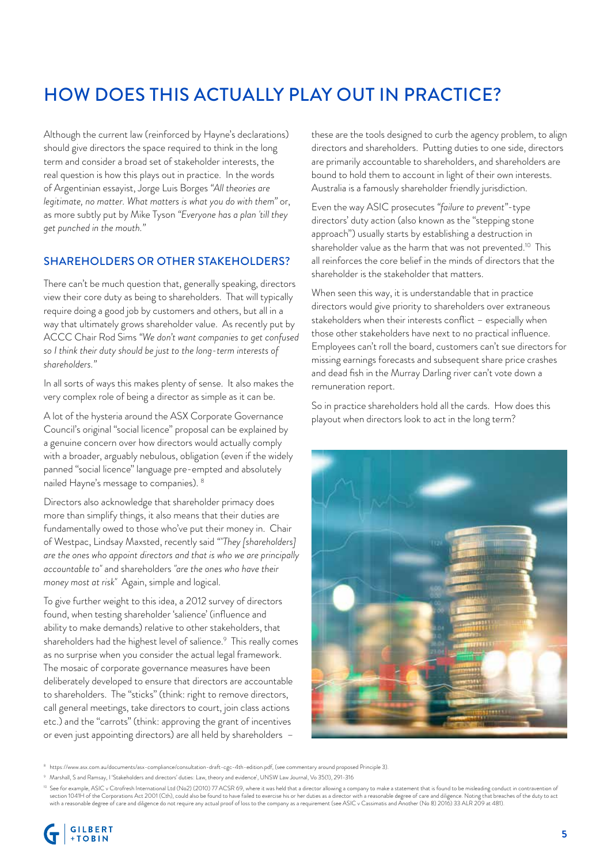## HOW DOES THIS ACTUALLY PLAY OUT IN PRACTICE?

Although the current law (reinforced by Hayne's declarations) should give directors the space required to think in the long term and consider a broad set of stakeholder interests, the real question is how this plays out in practice. In the words of Argentinian essayist, Jorge Luis Borges *"All theories are legitimate, no matter. What matters is what you do with them"* or, as more subtly put by Mike Tyson *"Everyone has a plan 'till they get punched in the mouth."*

#### SHAREHOLDERS OR OTHER STAKEHOLDERS?

There can't be much question that, generally speaking, directors view their core duty as being to shareholders. That will typically require doing a good job by customers and others, but all in a way that ultimately grows shareholder value. As recently put by ACCC Chair Rod Sims *"We don't want companies to get confused so I think their duty should be just to the long-term interests of shareholders."* 

In all sorts of ways this makes plenty of sense. It also makes the very complex role of being a director as simple as it can be.

A lot of the hysteria around the ASX Corporate Governance Council's original "social licence" proposal can be explained by a genuine concern over how directors would actually comply with a broader, arguably nebulous, obligation (even if the widely panned "social licence" language pre-empted and absolutely nailed Hayne's message to companies). 8

Directors also acknowledge that shareholder primacy does more than simplify things, it also means that their duties are fundamentally owed to those who've put their money in. Chair of Westpac, Lindsay Maxsted, recently said *""They [shareholders] are the ones who appoint directors and that is who we are principally accountable to"* and shareholders *"are the ones who have their money most at risk"* Again, simple and logical.

To give further weight to this idea, a 2012 survey of directors found, when testing shareholder 'salience' (influence and ability to make demands) relative to other stakeholders, that shareholders had the highest level of salience. $9\,$  This really comes as no surprise when you consider the actual legal framework. The mosaic of corporate governance measures have been deliberately developed to ensure that directors are accountable to shareholders. The "sticks" (think: right to remove directors, call general meetings, take directors to court, join class actions etc.) and the "carrots" (think: approving the grant of incentives or even just appointing directors) are all held by shareholders –

these are the tools designed to curb the agency problem, to align directors and shareholders. Putting duties to one side, directors are primarily accountable to shareholders, and shareholders are bound to hold them to account in light of their own interests. Australia is a famously shareholder friendly jurisdiction.

Even the way ASIC prosecutes *"failure to prevent"*-type directors' duty action (also known as the "stepping stone approach") usually starts by establishing a destruction in shareholder value as the harm that was not prevented.<sup>10</sup> This all reinforces the core belief in the minds of directors that the shareholder is the stakeholder that matters.

When seen this way, it is understandable that in practice directors would give priority to shareholders over extraneous stakeholders when their interests conflict – especially when those other stakeholders have next to no practical influence. Employees can't roll the board, customers can't sue directors for missing earnings forecasts and subsequent share price crashes and dead fish in the Murray Darling river can't vote down a remuneration report.

So in practice shareholders hold all the cards. How does this playout when directors look to act in the long term?



<sup>8</sup> https://www.asx.com.au/documents/asx-compliance/consultation-draft-cgc-4th-edition.pdf, (see commentary around proposed Principle 3).

O See for example, ASIC v Citrofresh International Ltd (No2) (2010) 77 ACSR 69, where it was held that a director allowing a company to make a statement that is found to be misleading conduct in contravention of the duty t



<sup>9</sup> Marshall, S and Ramsay, I 'Stakeholders and directors' duties: Law, theory and evidence', UNSW Law Journal, Vo 35(1), 291-316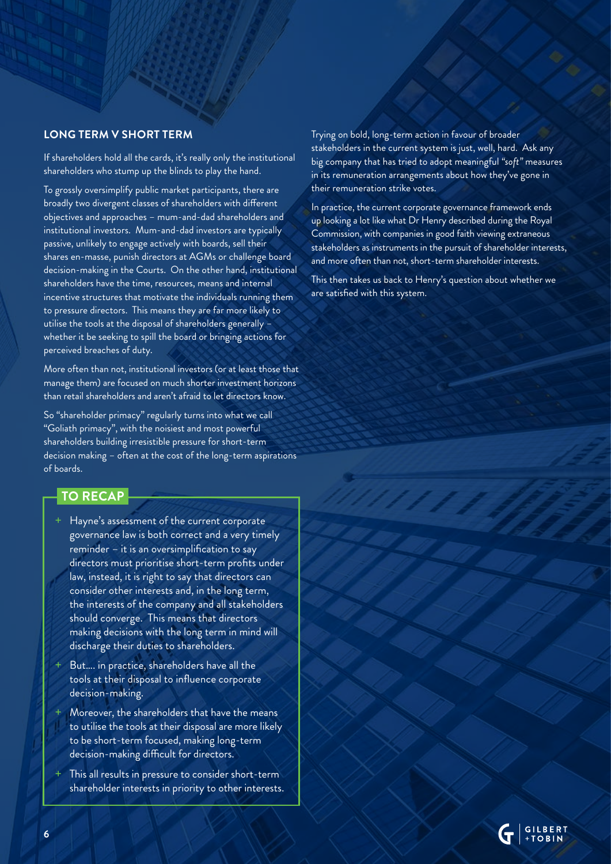#### **LONG TERM V SHORT TERM**

If shareholders hold all the cards, it's really only the institutional shareholders who stump up the blinds to play the hand.

To grossly oversimplify public market participants, there are broadly two divergent classes of shareholders with different objectives and approaches – mum-and-dad shareholders and institutional investors. Mum-and-dad investors are typically passive, unlikely to engage actively with boards, sell their shares en-masse, punish directors at AGMs or challenge board decision-making in the Courts. On the other hand, institutional shareholders have the time, resources, means and internal incentive structures that motivate the individuals running them to pressure directors. This means they are far more likely to utilise the tools at the disposal of shareholders generally – whether it be seeking to spill the board or bringing actions for perceived breaches of duty.

More often than not, institutional investors (or at least those that manage them) are focused on much shorter investment horizons than retail shareholders and aren't afraid to let directors know.

So "shareholder primacy" regularly turns into what we call "Goliath primacy", with the noisiest and most powerful shareholders building irresistible pressure for short-term decision making – often at the cost of the long-term aspirations of boards.

#### **TO RECAP**

- Hayne's assessment of the current corporate governance law is both correct and a very timely reminder – it is an oversimplification to say directors must prioritise short-term profits under law, instead, it is right to say that directors can consider other interests and, in the long term, the interests of the company and all stakeholders should converge. This means that directors making decisions with the long term in mind will discharge their duties to shareholders.
- But.... in practice, shareholders have all the tools at their disposal to influence corporate decision-making.
- Moreover, the shareholders that have the means to utilise the tools at their disposal are more likely to be short-term focused, making long-term decision-making difficult for directors.
- This all results in pressure to consider short-term shareholder interests in priority to other interests.

Trying on bold, long-term action in favour of broader stakeholders in the current system is just, well, hard. Ask any big company that has tried to adopt meaningful *"soft"* measures in its remuneration arrangements about how they've gone in their remuneration strike votes.

In practice, the current corporate governance framework ends up looking a lot like what Dr Henry described during the Royal Commission, with companies in good faith viewing extraneous stakeholders as instruments in the pursuit of shareholder interests, and more often than not, short-term shareholder interests.

This then takes us back to Henry's question about whether we are satisfied with this system.

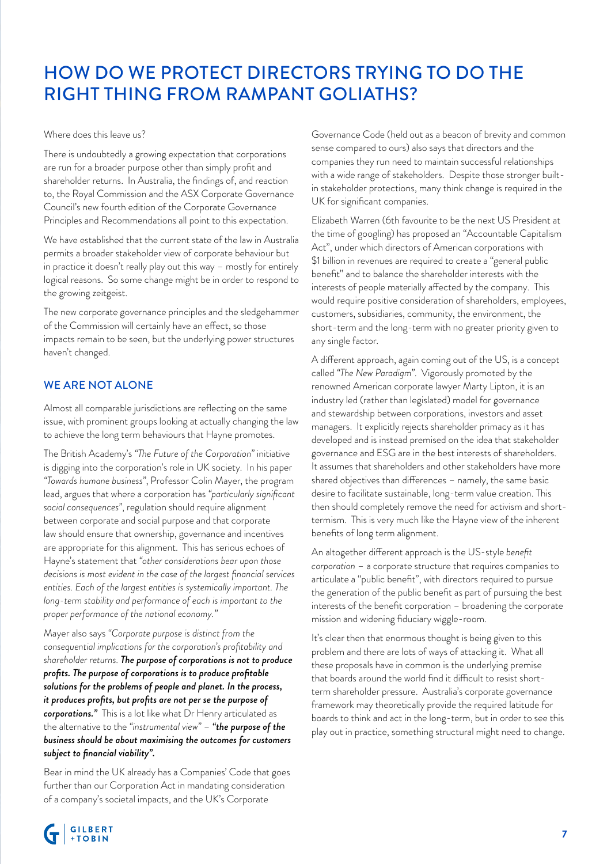## HOW DO WE PROTECT DIRECTORS TRYING TO DO THE RIGHT THING FROM RAMPANT GOLIATHS?

Where does this leave us?

There is undoubtedly a growing expectation that corporations are run for a broader purpose other than simply profit and shareholder returns. In Australia, the findings of, and reaction to, the Royal Commission and the ASX Corporate Governance Council's new fourth edition of the Corporate Governance Principles and Recommendations all point to this expectation.

We have established that the current state of the law in Australia permits a broader stakeholder view of corporate behaviour but in practice it doesn't really play out this way – mostly for entirely logical reasons. So some change might be in order to respond to the growing zeitgeist.

The new corporate governance principles and the sledgehammer of the Commission will certainly have an effect, so those impacts remain to be seen, but the underlying power structures haven't changed.

#### WE ARE NOT ALONE

Almost all comparable jurisdictions are reflecting on the same issue, with prominent groups looking at actually changing the law to achieve the long term behaviours that Hayne promotes.

The British Academy's *"The Future of the Corporation"* initiative is digging into the corporation's role in UK society. In his paper *"Towards humane business"*, Professor Colin Mayer, the program lead, argues that where a corporation has *"particularly significant social consequences"*, regulation should require alignment between corporate and social purpose and that corporate law should ensure that ownership, governance and incentives are appropriate for this alignment. This has serious echoes of Hayne's statement that *"other considerations bear upon those decisions is most evident in the case of the largest financial services entities. Each of the largest entities is systemically important. The long-term stability and performance of each is important to the proper performance of the national economy."*

Mayer also says *"Corporate purpose is distinct from the consequential implications for the corporation's profitability and shareholder returns. The purpose of corporations is not to produce profits. The purpose of corporations is to produce profitable solutions for the problems of people and planet. In the process, it produces profits, but profits are not per se the purpose of corporations."* This is a lot like what Dr Henry articulated as the alternative to the *"instrumental view"* – *"the purpose of the business should be about maximising the outcomes for customers subject to financial viability".*

Bear in mind the UK already has a Companies' Code that goes further than our Corporation Act in mandating consideration of a company's societal impacts, and the UK's Corporate

Governance Code (held out as a beacon of brevity and common sense compared to ours) also says that directors and the companies they run need to maintain successful relationships with a wide range of stakeholders. Despite those stronger builtin stakeholder protections, many think change is required in the UK for significant companies.

Elizabeth Warren (6th favourite to be the next US President at the time of googling) has proposed an "Accountable Capitalism Act", under which directors of American corporations with \$1 billion in revenues are required to create a "general public benefit" and to balance the shareholder interests with the interests of people materially affected by the company. This would require positive consideration of shareholders, employees, customers, subsidiaries, community, the environment, the short-term and the long-term with no greater priority given to any single factor.

A different approach, again coming out of the US, is a concept called *"The New Paradigm"*. Vigorously promoted by the renowned American corporate lawyer Marty Lipton, it is an industry led (rather than legislated) model for governance and stewardship between corporations, investors and asset managers. It explicitly rejects shareholder primacy as it has developed and is instead premised on the idea that stakeholder governance and ESG are in the best interests of shareholders. It assumes that shareholders and other stakeholders have more shared objectives than differences – namely, the same basic desire to facilitate sustainable, long-term value creation. This then should completely remove the need for activism and shorttermism. This is very much like the Hayne view of the inherent benefits of long term alignment.

An altogether different approach is the US-style *benefit corporation* – a corporate structure that requires companies to articulate a "public benefit", with directors required to pursue the generation of the public benefit as part of pursuing the best interests of the benefit corporation – broadening the corporate mission and widening fiduciary wiggle-room.

It's clear then that enormous thought is being given to this problem and there are lots of ways of attacking it. What all these proposals have in common is the underlying premise that boards around the world find it difficult to resist shortterm shareholder pressure. Australia's corporate governance framework may theoretically provide the required latitude for boards to think and act in the long-term, but in order to see this play out in practice, something structural might need to change.